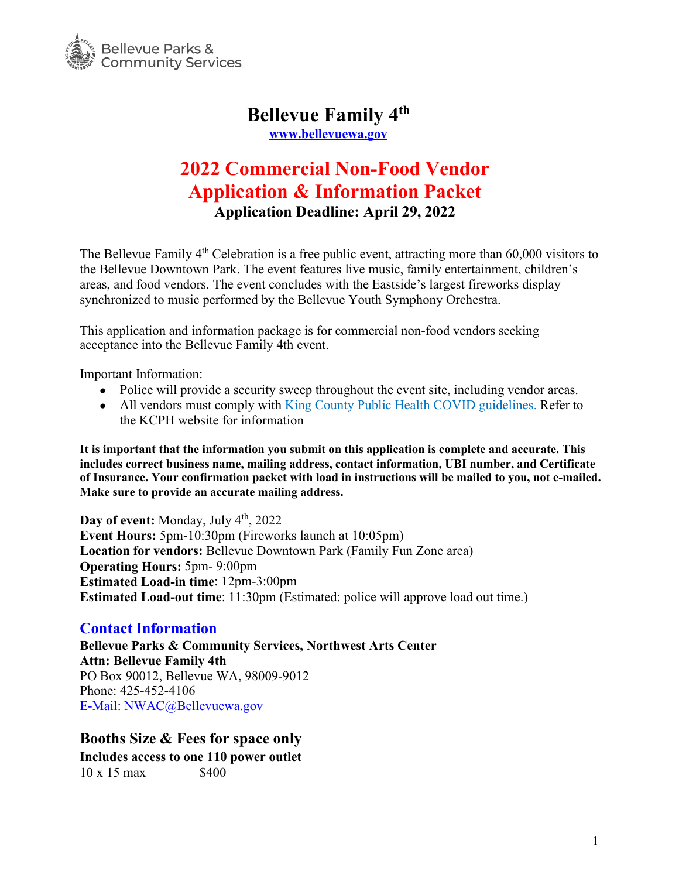

# **Bellevue Family 4th**

**[www.bellevuewa.gov](http://www.bellevuewa.gov/)**

## **2022 Commercial Non-Food Vendor Application & Information Packet Application Deadline: April 29, 2022**

The Bellevue Family 4<sup>th</sup> Celebration is a free public event, attracting more than 60,000 visitors to the Bellevue Downtown Park. The event features live music, family entertainment, children's areas, and food vendors. The event concludes with the Eastside's largest fireworks display synchronized to music performed by the Bellevue Youth Symphony Orchestra.

This application and information package is for commercial non-food vendors seeking acceptance into the Bellevue Family 4th event.

Important Information:

- Police will provide a security sweep throughout the event site, including vendor areas.
- All vendors must comply with [King County Public Health COVID guidelines.](https://kingcounty.gov/depts/health/covid-19.aspx) Refer to the KCPH website for information

**It is important that the information you submit on this application is complete and accurate. This includes correct business name, mailing address, contact information, UBI number, and Certificate of Insurance. Your confirmation packet with load in instructions will be mailed to you, not e-mailed. Make sure to provide an accurate mailing address.** 

Day of event: Monday, July 4<sup>th</sup>, 2022 **Event Hours:** 5pm-10:30pm (Fireworks launch at 10:05pm) **Location for vendors:** Bellevue Downtown Park (Family Fun Zone area) **Operating Hours:** 5pm- 9:00pm **Estimated Load-in time**: 12pm-3:00pm **Estimated Load-out time**: 11:30pm (Estimated: police will approve load out time.)

#### **Contact Information**

**Bellevue Parks & Community Services, Northwest Arts Center Attn: Bellevue Family 4th** PO Box 90012, Bellevue WA, 98009-9012 Phone: 425-452-4106 E-Mail: [NWAC@Bellevuewa.gov](mailto:E-Mail:%20NWAC@Bellevuewa.gov)

#### **Booths Size & Fees for space only**

**Includes access to one 110 power outlet**  $10 \times 15$  max \$400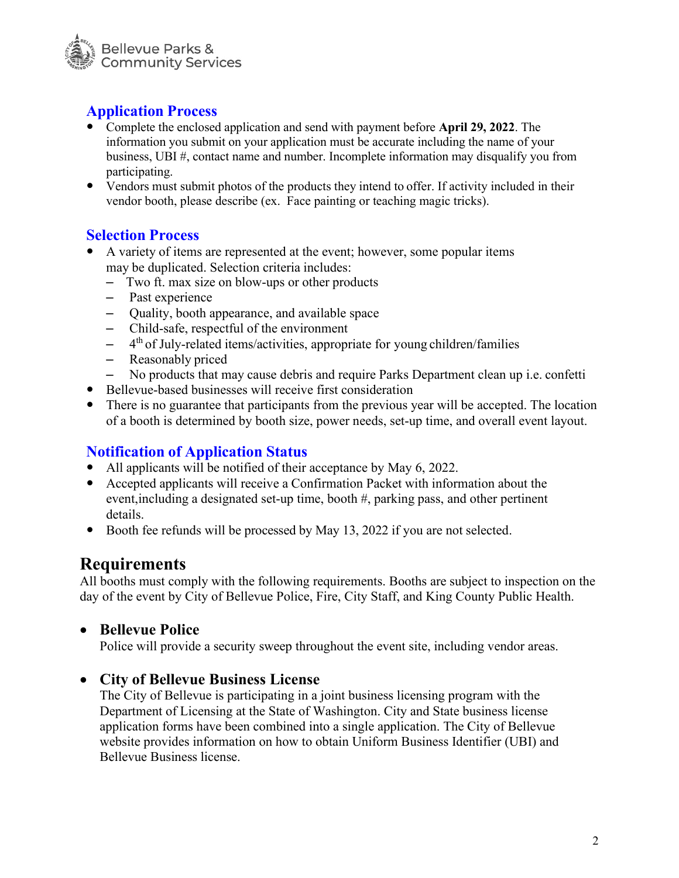

## **Application Process**

- Complete the enclosed application and send with payment before **April 29, 2022**. The information you submit on your application must be accurate including the name of your business, UBI #, contact name and number. Incomplete information may disqualify you from participating.
- Vendors must submit photos of the products they intend to offer. If activity included in their vendor booth, please describe (ex. Face painting or teaching magic tricks).

#### **Selection Process**

- A variety of items are represented at the event; however, some popular items may be duplicated. Selection criteria includes:
	- Two ft. max size on blow-ups or other products
	- Past experience
	- Quality, booth appearance, and available space
	- Child-safe, respectful of the environment
	- $-$  4<sup>th</sup> of July-related items/activities, appropriate for young children/families
	- Reasonably priced
	- No products that may cause debris and require Parks Department clean up i.e. confetti
- Bellevue-based businesses will receive first consideration
- There is no guarantee that participants from the previous year will be accepted. The location of a booth is determined by booth size, power needs, set-up time, and overall event layout.

## **Notification of Application Status**

- All applicants will be notified of their acceptance by May 6, 2022.
- Accepted applicants will receive a Confirmation Packet with information about the event,including a designated set-up time, booth #, parking pass, and other pertinent details.
- Booth fee refunds will be processed by May 13, 2022 if you are not selected.

## **Requirements**

All booths must comply with the following requirements. Booths are subject to inspection on the day of the event by City of Bellevue Police, Fire, City Staff, and King County Public Health.

#### • **Bellevue Police**

Police will provide a security sweep throughout the event site, including vendor areas.

## • **City of Bellevue Business License**

The City of Bellevue is participating in a joint business licensing program with the Department of Licensing at the State of Washington. City and State business license application forms have been combined into a single application. The City of Bellevue website provides information on how to obtain Uniform Business Identifier (UBI) and Bellevue Business license.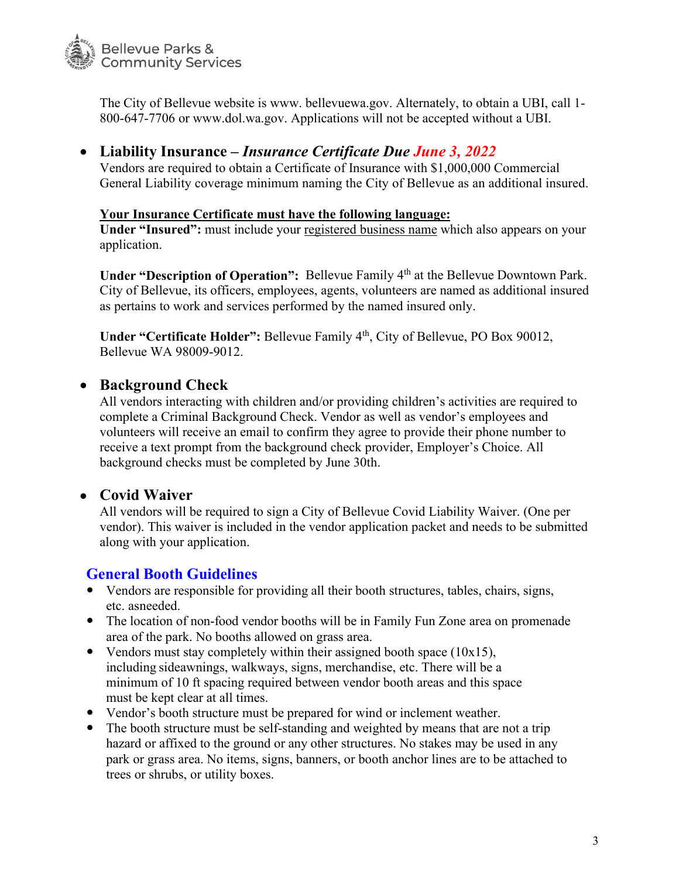

The City of Bellevue website is [www. b](http://www/)ellevuewa.gov. Alternately, to obtain a UBI, call 1- 800-647-7706 or [www.dol.wa.gov.](http://www.dol.wa.gov/) Applications will not be accepted without a UBI.

## • **Liability Insurance –** *Insurance Certificate Due June 3, 2022*

Vendors are required to obtain a Certificate of Insurance with \$1,000,000 Commercial General Liability coverage minimum naming the City of Bellevue as an additional insured.

#### **Your Insurance Certificate must have the following language:**

**Under "Insured":** must include your registered business name which also appears on your application.

Under "Description of Operation": Bellevue Family 4<sup>th</sup> at the Bellevue Downtown Park. City of Bellevue, its officers, employees, agents, volunteers are named as additional insured as pertains to work and services performed by the named insured only.

Under "Certificate Holder": Bellevue Family 4<sup>th</sup>, City of Bellevue, PO Box 90012, Bellevue WA 98009-9012.

#### • **Background Check**

All vendors interacting with children and/or providing children's activities are required to complete a Criminal Background Check. Vendor as well as vendor's employees and volunteers will receive an email to confirm they agree to provide their phone number to receive a text prompt from the background check provider, Employer's Choice. All background checks must be completed by June 30th.

#### • **Covid Waiver**

All vendors will be required to sign a City of Bellevue Covid Liability Waiver. (One per vendor). This waiver is included in the vendor application packet and needs to be submitted along with your application.

## **General Booth Guidelines**

- Vendors are responsible for providing all their booth structures, tables, chairs, signs, etc. asneeded.
- The location of non-food vendor booths will be in Family Fun Zone area on promenade area of the park. No booths allowed on grass area.
- Vendors must stay completely within their assigned booth space  $(10x15)$ , including sideawnings, walkways, signs, merchandise, etc. There will be a minimum of 10 ft spacing required between vendor booth areas and this space must be kept clear at all times.
- Vendor's booth structure must be prepared for wind or inclement weather.
- The booth structure must be self-standing and weighted by means that are not a trip hazard or affixed to the ground or any other structures. No stakes may be used in any park or grass area. No items, signs, banners, or booth anchor lines are to be attached to trees or shrubs, or utility boxes.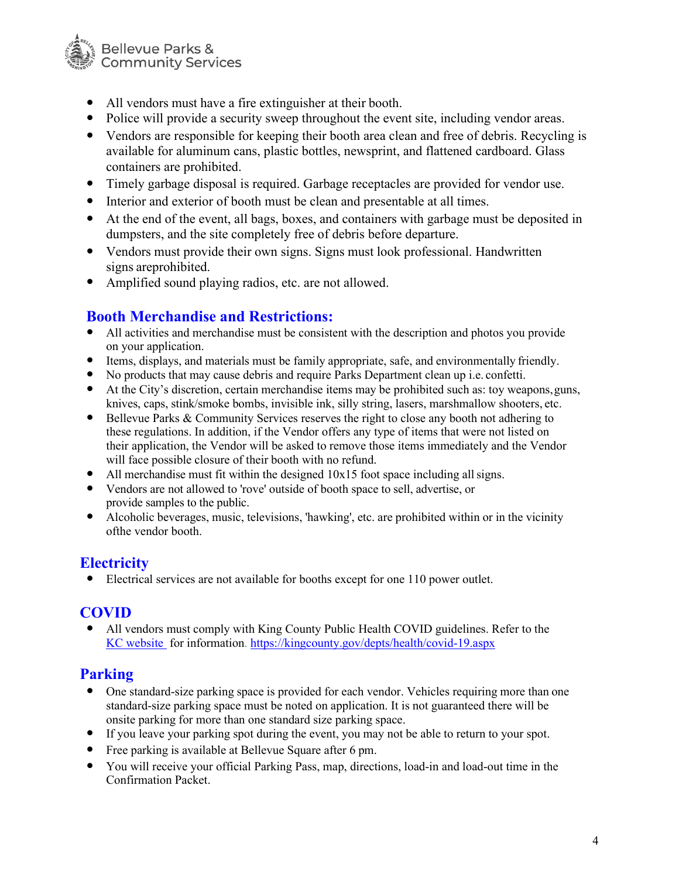

- All vendors must have a fire extinguisher at their booth.
- Police will provide a security sweep throughout the event site, including vendor areas.
- Vendors are responsible for keeping their booth area clean and free of debris. Recycling is available for aluminum cans, plastic bottles, newsprint, and flattened cardboard. Glass containers are prohibited.
- Timely garbage disposal is required. Garbage receptacles are provided for vendor use.
- Interior and exterior of booth must be clean and presentable at all times.
- At the end of the event, all bags, boxes, and containers with garbage must be deposited in dumpsters, and the site completely free of debris before departure.
- Vendors must provide their own signs. Signs must look professional. Handwritten signs areprohibited.
- Amplified sound playing radios, etc. are not allowed.

## **Booth Merchandise and Restrictions:**

- All activities and merchandise must be consistent with the description and photos you provide on your application.
- Items, displays, and materials must be family appropriate, safe, and environmentally friendly.
- No products that may cause debris and require Parks Department clean up i.e. confetti.
- At the City's discretion, certain merchandise items may be prohibited such as: toy weapons,guns, knives, caps, stink/smoke bombs, invisible ink, silly string, lasers, marshmallow shooters, etc.
- Bellevue Parks & Community Services reserves the right to close any booth not adhering to these regulations. In addition, if the Vendor offers any type of items that were not listed on their application, the Vendor will be asked to remove those items immediately and the Vendor will face possible closure of their booth with no refund.
- All merchandise must fit within the designed  $10x15$  foot space including all signs.
- Vendors are not allowed to 'rove' outside of booth space to sell, advertise, or provide samples to the public.
- Alcoholic beverages, music, televisions, 'hawking', etc. are prohibited within or in the vicinity ofthe vendor booth.

## **Electricity**

Electrical services are not available for booths except for one 110 power outlet.

## **COVID**

 All vendors must comply with King County Public Health COVID guidelines. Refer to the [KC website](https://kingcounty.gov/depts/health/covid-19.aspx) for information.<https://kingcounty.gov/depts/health/covid-19.aspx>

#### **Parking**

- One standard-size parking space is provided for each vendor. Vehicles requiring more than one standard-size parking space must be noted on application. It is not guaranteed there will be onsite parking for more than one standard size parking space.
- If you leave your parking spot during the event, you may not be able to return to your spot.
- Free parking is available at Bellevue Square after 6 pm.
- You will receive your official Parking Pass, map, directions, load-in and load-out time in the Confirmation Packet.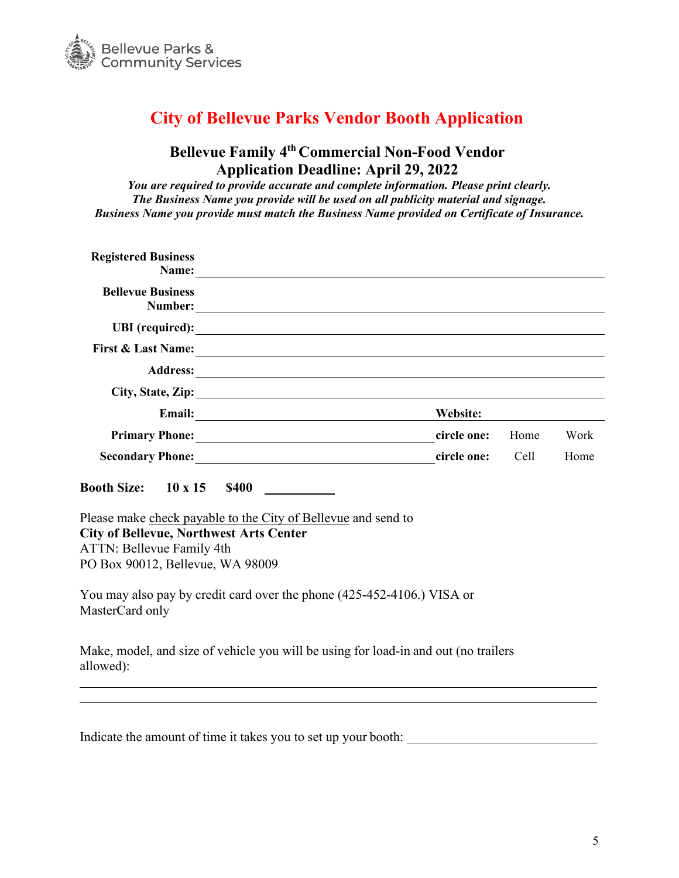

## **City of Bellevue Parks Vendor Booth Application**

## **Bellevue Family 4th Commercial Non-Food Vendor Application Deadline: April 29, 2022**

*You are required to provide accurate and complete information. Please print clearly. The Business Name you provide will be used on all publicity material and signage. Business Name you provide must match the Business Name provided on Certificate of Insurance.*

| <b>Registered Business</b><br>Name: Name:                                                                                                                                        |             |      |      |
|----------------------------------------------------------------------------------------------------------------------------------------------------------------------------------|-------------|------|------|
| <b>Bellevue Business</b>                                                                                                                                                         |             |      |      |
|                                                                                                                                                                                  |             |      |      |
|                                                                                                                                                                                  |             |      |      |
|                                                                                                                                                                                  |             |      |      |
| City, State, Zip:                                                                                                                                                                |             |      |      |
|                                                                                                                                                                                  | Website:    |      |      |
| Primary Phone: 1988 and 2008 and 2008 and 2008 and 2008 and 2008 and 2008 and 2008 and 2008 and 2008 and 2008                                                                    | circle one: | Home | Work |
|                                                                                                                                                                                  | circle one: | Cell | Home |
| <b>Booth Size:</b> 10 x 15 \$400                                                                                                                                                 |             |      |      |
| Please make check payable to the City of Bellevue and send to<br><b>City of Bellevue, Northwest Arts Center</b><br>ATTN: Bellevue Family 4th<br>PO Box 90012, Bellevue, WA 98009 |             |      |      |
| You may also pay by credit card over the phone (425-452-4106.) VISA or<br>MasterCard only                                                                                        |             |      |      |
| Make, model, and size of vehicle you will be using for load-in and out (no trailers<br>allowed):                                                                                 |             |      |      |

| Indicate the amount of time it takes you to set up your booth: |  |
|----------------------------------------------------------------|--|
|----------------------------------------------------------------|--|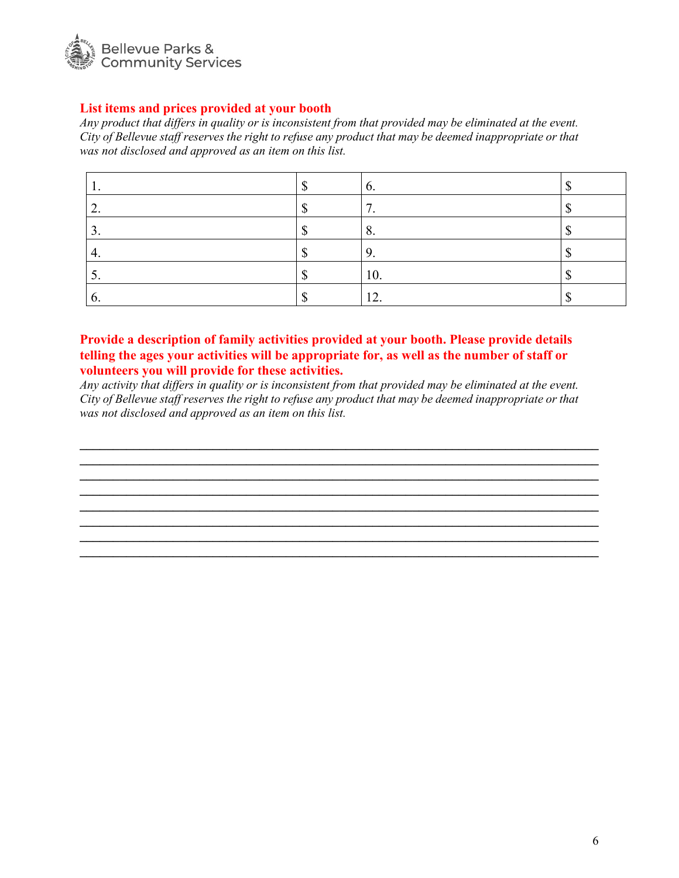

#### **List items and prices provided at your booth**

*Any product that differs in quality or is inconsistent from that provided may be eliminated at the event. City of Bellevue staff reserves the right to refuse any product that may be deemed inappropriate or that was not disclosed and approved as an item on this list.*

|              | v.       |  |
|--------------|----------|--|
| ٠.           | ┍<br>. . |  |
| . ب          | o.       |  |
| 4.           | . .      |  |
| ، پ          | 10.      |  |
| $\mathbf{0}$ | 12.      |  |

#### **Provide a description of family activities provided at your booth. Please provide details telling the ages your activities will be appropriate for, as well as the number of staff or volunteers you will provide for these activities.**

*Any activity that differs in quality or is inconsistent from that provided may be eliminated at the event. City of Bellevue staff reserves the right to refuse any product that may be deemed inappropriate or that was not disclosed and approved as an item on this list.*

**\_\_\_\_\_\_\_\_\_\_\_\_\_\_\_\_\_\_\_\_\_\_\_\_\_\_\_\_\_\_\_\_\_\_\_\_\_\_\_\_\_\_\_\_\_\_\_\_\_\_\_\_\_\_\_\_\_\_\_\_\_\_\_\_\_\_\_\_\_\_\_\_\_\_\_\_\_\_ \_\_\_\_\_\_\_\_\_\_\_\_\_\_\_\_\_\_\_\_\_\_\_\_\_\_\_\_\_\_\_\_\_\_\_\_\_\_\_\_\_\_\_\_\_\_\_\_\_\_\_\_\_\_\_\_\_\_\_\_\_\_\_\_\_\_\_\_\_\_\_\_\_\_\_\_\_\_ \_\_\_\_\_\_\_\_\_\_\_\_\_\_\_\_\_\_\_\_\_\_\_\_\_\_\_\_\_\_\_\_\_\_\_\_\_\_\_\_\_\_\_\_\_\_\_\_\_\_\_\_\_\_\_\_\_\_\_\_\_\_\_\_\_\_\_\_\_\_\_\_\_\_\_\_\_\_ \_\_\_\_\_\_\_\_\_\_\_\_\_\_\_\_\_\_\_\_\_\_\_\_\_\_\_\_\_\_\_\_\_\_\_\_\_\_\_\_\_\_\_\_\_\_\_\_\_\_\_\_\_\_\_\_\_\_\_\_\_\_\_\_\_\_\_\_\_\_\_\_\_\_\_\_\_\_ \_\_\_\_\_\_\_\_\_\_\_\_\_\_\_\_\_\_\_\_\_\_\_\_\_\_\_\_\_\_\_\_\_\_\_\_\_\_\_\_\_\_\_\_\_\_\_\_\_\_\_\_\_\_\_\_\_\_\_\_\_\_\_\_\_\_\_\_\_\_\_\_\_\_\_\_\_\_ \_\_\_\_\_\_\_\_\_\_\_\_\_\_\_\_\_\_\_\_\_\_\_\_\_\_\_\_\_\_\_\_\_\_\_\_\_\_\_\_\_\_\_\_\_\_\_\_\_\_\_\_\_\_\_\_\_\_\_\_\_\_\_\_\_\_\_\_\_\_\_\_\_\_\_\_\_\_ \_\_\_\_\_\_\_\_\_\_\_\_\_\_\_\_\_\_\_\_\_\_\_\_\_\_\_\_\_\_\_\_\_\_\_\_\_\_\_\_\_\_\_\_\_\_\_\_\_\_\_\_\_\_\_\_\_\_\_\_\_\_\_\_\_\_\_\_\_\_\_\_\_\_\_\_\_\_ \_\_\_\_\_\_\_\_\_\_\_\_\_\_\_\_\_\_\_\_\_\_\_\_\_\_\_\_\_\_\_\_\_\_\_\_\_\_\_\_\_\_\_\_\_\_\_\_\_\_\_\_\_\_\_\_\_\_\_\_\_\_\_\_\_\_\_\_\_\_\_\_\_\_\_\_\_\_**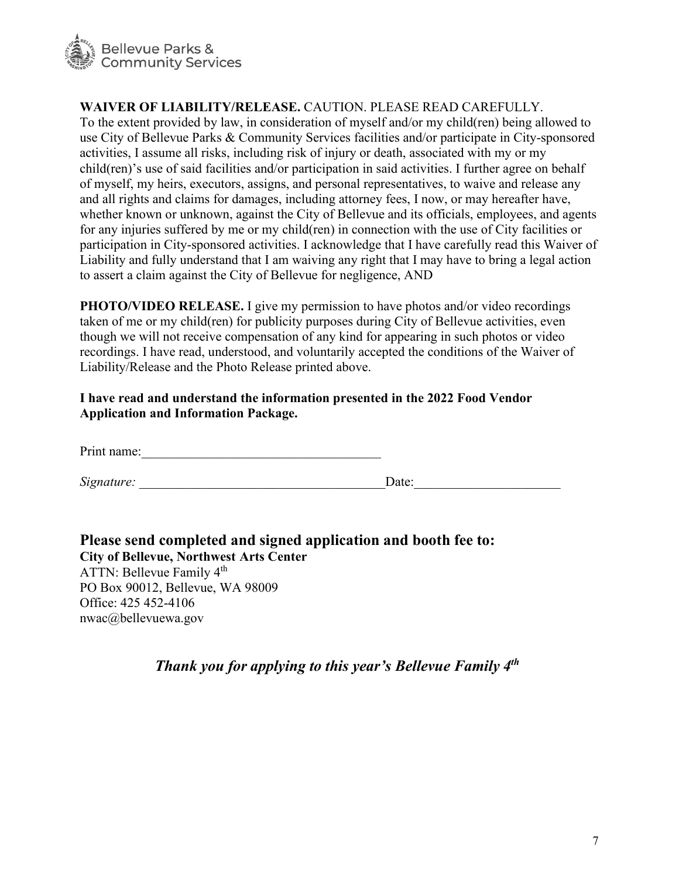

nwac@bellevuewa.gov

#### **WAIVER OF LIABILITY/RELEASE.** CAUTION. PLEASE READ CAREFULLY.

To the extent provided by law, in consideration of myself and/or my child(ren) being allowed to use City of Bellevue Parks & Community Services facilities and/or participate in City-sponsored activities, I assume all risks, including risk of injury or death, associated with my or my child(ren)'s use of said facilities and/or participation in said activities. I further agree on behalf of myself, my heirs, executors, assigns, and personal representatives, to waive and release any and all rights and claims for damages, including attorney fees, I now, or may hereafter have, whether known or unknown, against the City of Bellevue and its officials, employees, and agents for any injuries suffered by me or my child(ren) in connection with the use of City facilities or participation in City-sponsored activities. I acknowledge that I have carefully read this Waiver of Liability and fully understand that I am waiving any right that I may have to bring a legal action to assert a claim against the City of Bellevue for negligence, AND

**PHOTO/VIDEO RELEASE.** I give my permission to have photos and/or video recordings taken of me or my child(ren) for publicity purposes during City of Bellevue activities, even though we will not receive compensation of any kind for appearing in such photos or video recordings. I have read, understood, and voluntarily accepted the conditions of the Waiver of Liability/Release and the Photo Release printed above.

**I have read and understand the information presented in the 2022 Food Vendor Application and Information Package.** 

Print name:

*Signature:* <u>Date:</u>

**Please send completed and signed application and booth fee to: City of Bellevue, Northwest Arts Center**  ATTN: Bellevue Family 4<sup>th</sup> PO Box 90012, Bellevue, WA 98009 Office: 425 452-4106

*Thank you for applying to this year's Bellevue Family 4th*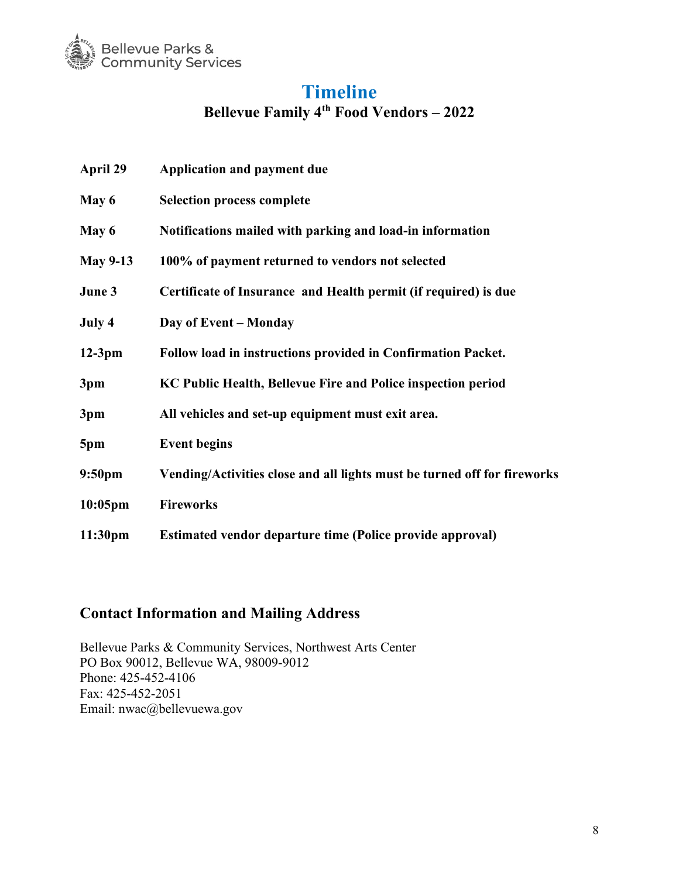

## **Timeline**

**Bellevue Family 4th Food Vendors – 2022**

| <b>April 29</b>     | <b>Application and payment due</b>                                       |
|---------------------|--------------------------------------------------------------------------|
| May 6               | <b>Selection process complete</b>                                        |
| May 6               | Notifications mailed with parking and load-in information                |
| <b>May 9-13</b>     | 100% of payment returned to vendors not selected                         |
| June 3              | Certificate of Insurance and Health permit (if required) is due          |
| July 4              | Day of Event – Monday                                                    |
| $12-3pm$            | Follow load in instructions provided in Confirmation Packet.             |
| 3pm                 | KC Public Health, Bellevue Fire and Police inspection period             |
| 3pm                 | All vehicles and set-up equipment must exit area.                        |
| 5pm                 | <b>Event begins</b>                                                      |
| 9:50 <sub>pm</sub>  | Vending/Activities close and all lights must be turned off for fireworks |
| $10:05$ pm          | <b>Fireworks</b>                                                         |
| 11:30 <sub>pm</sub> | <b>Estimated vendor departure time (Police provide approval)</b>         |

## **Contact Information and Mailing Address**

Bellevue Parks & Community Services, Northwest Arts Center PO Box 90012, Bellevue WA, 98009-9012 Phone: 425-452-4106 Fax: 425-452-2051 Email: nwac@bellevuewa.gov